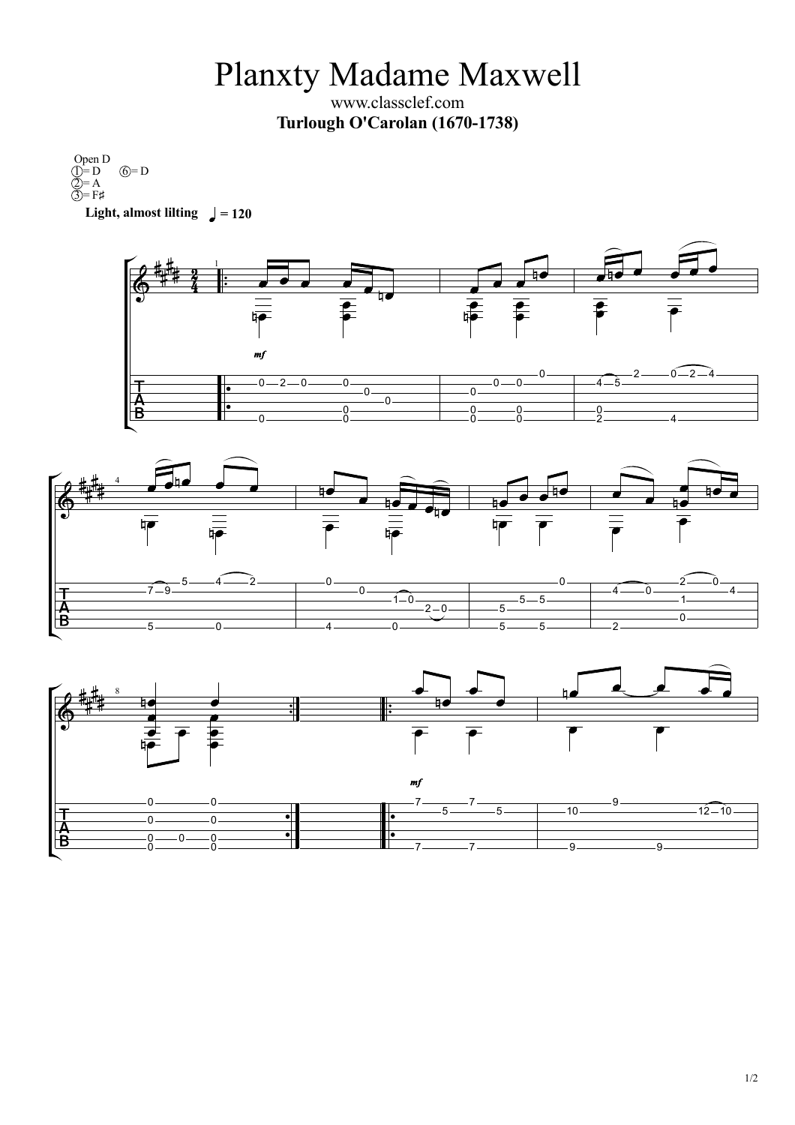Planxty Madame Maxwell

www.classclef.com **Turlough O'Carolan (1670-1738)**

**Light,** almost lilting  $\frac{1}{2} = 120$ Open D  $\hat{D} = D \quad \hat{D} = D$  $2 = A$  $\overline{3}$  = F#  $\circledcirc$  = D